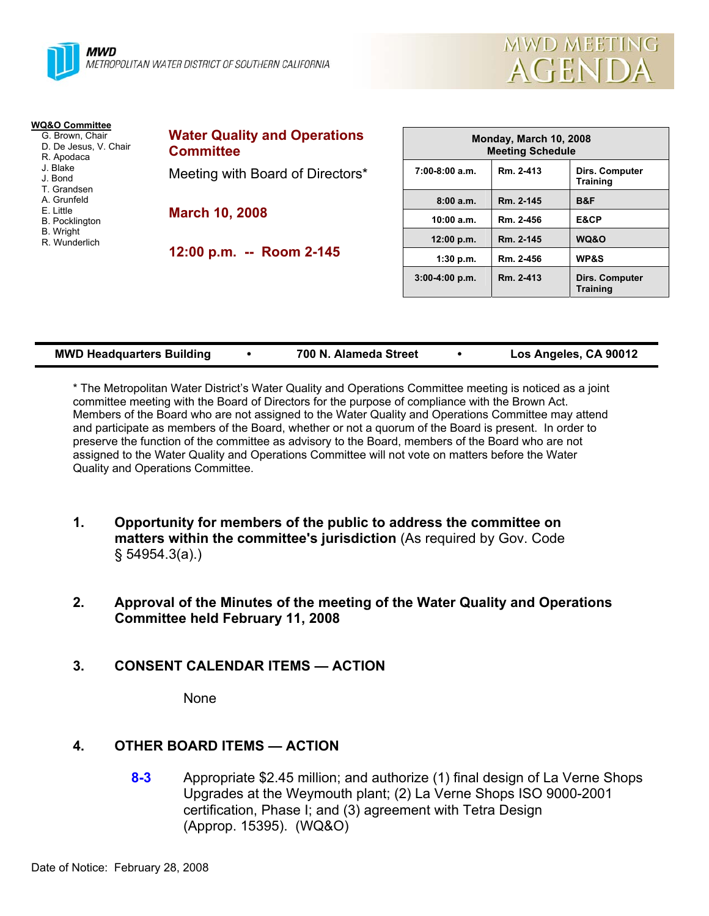



| WQ&O Committee                                                                                                        |                                                         |          |
|-----------------------------------------------------------------------------------------------------------------------|---------------------------------------------------------|----------|
| G. Brown, Chair<br>D. De Jesus, V. Chair<br>R. Apodaca                                                                | <b>Water Quality and Operations</b><br><b>Committee</b> |          |
| J. Blake<br>J. Bond<br>T. Grandsen<br>A. Grunfeld<br>E. Little<br><b>B.</b> Pocklington<br>B. Wright<br>R. Wunderlich | Meeting with Board of Directors*                        | $7:00-8$ |
|                                                                                                                       |                                                         |          |
|                                                                                                                       | <b>March 10, 2008</b>                                   | 10       |
|                                                                                                                       | 12:00 p.m. -- Room 2-145                                | 12       |
|                                                                                                                       |                                                         |          |
|                                                                                                                       |                                                         |          |

| Monday, March 10, 2008<br><b>Meeting Schedule</b> |           |                                          |  |  |  |
|---------------------------------------------------|-----------|------------------------------------------|--|--|--|
| $7:00-8:00$ a.m.                                  | Rm. 2-413 | Dirs. Computer<br><b>Training</b>        |  |  |  |
| 8:00a.m.                                          | Rm. 2-145 | B&F                                      |  |  |  |
| 10:00 a.m.                                        | Rm. 2-456 | E&CP                                     |  |  |  |
| 12:00 p.m.                                        | Rm. 2-145 | WQ&O                                     |  |  |  |
| 1:30 p.m.                                         | Rm. 2-456 | <b>WP&amp;S</b>                          |  |  |  |
| $3:00-4:00 p.m.$                                  | Rm. 2-413 | <b>Dirs. Computer</b><br><b>Training</b> |  |  |  |

| <b>MWD Headquarters Building</b> |  | 700 N. Alameda Street |  | Los Angeles, CA 90012 |
|----------------------------------|--|-----------------------|--|-----------------------|
|----------------------------------|--|-----------------------|--|-----------------------|

\* The Metropolitan Water District's Water Quality and Operations Committee meeting is noticed as a joint committee meeting with the Board of Directors for the purpose of compliance with the Brown Act. Members of the Board who are not assigned to the Water Quality and Operations Committee may attend and participate as members of the Board, whether or not a quorum of the Board is present. In order to preserve the function of the committee as advisory to the Board, members of the Board who are not assigned to the Water Quality and Operations Committee will not vote on matters before the Water Quality and Operations Committee.

- **1. Opportunity for members of the public to address the committee on matters within the committee's jurisdiction** (As required by Gov. Code § 54954.3(a).)
- **2. Approval of the Minutes of the meeting of the Water Quality and Operations Committee held February 11, 2008**
- **3. CONSENT CALENDAR ITEMS ACTION**

None

# **4. OTHER BOARD ITEMS — ACTION**

**8-3** Appropriate \$2.45 million; and authorize (1) final design of La Verne Shops Upgrades at the Weymouth plant; (2) La Verne Shops ISO 9000-2001 certification, Phase I; and (3) agreement with Tetra Design (Approp. 15395). (WQ&O)